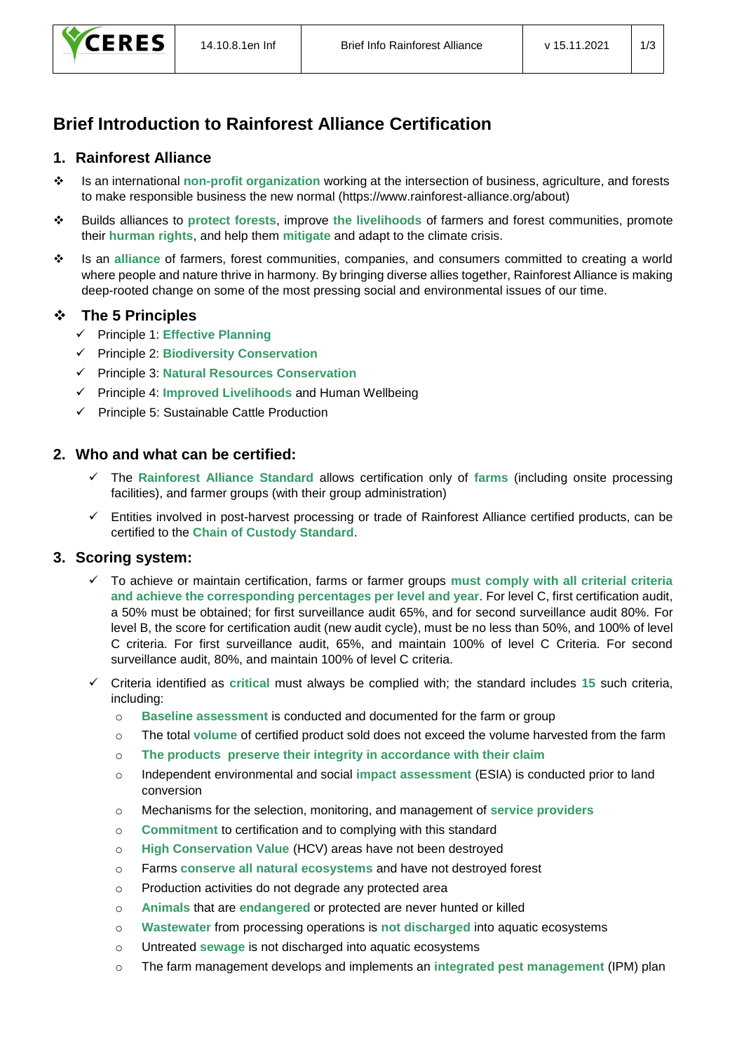# **Brief Introduction to Rainforest Alliance Certification**

#### **1. Rainforest Alliance**

- ❖ Is an international **non-profit organization** working at the intersection of business, agriculture, and forests to make responsible business the new normal (https://www.rainforest-alliance.org/about)
- ❖ Builds alliances to **protect forests**, improve **the livelihoods** of farmers and forest communities, promote their **hurman rights**, and help them **mitigate** and adapt to the climate crisis.
- ❖ Is an **alliance** of farmers, forest communities, companies, and consumers committed to creating a world where people and nature thrive in harmony. By bringing diverse allies together, Rainforest Alliance is making deep-rooted change on some of the most pressing social and environmental issues of our time.

## ❖ **The 5 Principles**

- ✓ Principle 1: **Effective Planning**
- ✓ Principle 2: **Biodiversity Conservation**
- ✓ Principle 3: **Natural Resources Conservation**
- ✓ Principle 4: **Improved Livelihoods** and Human Wellbeing
- ✓ Principle 5: Sustainable Cattle Production

## **2. Who and what can be certified:**

- ✓ The **Rainforest Alliance Standard** allows certification only of **farms** (including onsite processing facilities), and farmer groups (with their group administration)
- ✓ Entities involved in post-harvest processing or trade of Rainforest Alliance certified products, can be certified to the **Chain of Custody Standard**.

#### **3. Scoring system:**

- ✓ To achieve or maintain certification, farms or farmer groups **must comply with all criterial criteria and achieve the corresponding percentages per level and year**. For level C, first certification audit, a 50% must be obtained; for first surveillance audit 65%, and for second surveillance audit 80%. For level B, the score for certification audit (new audit cycle), must be no less than 50%, and 100% of level C criteria. For first surveillance audit, 65%, and maintain 100% of level C Criteria. For second surveillance audit, 80%, and maintain 100% of level C criteria.
- ✓ Criteria identified as **critical** must always be complied with; the standard includes **15** such criteria, including:
	- o **Baseline assessment** is conducted and documented for the farm or group
	- o The total **volume** of certified product sold does not exceed the volume harvested from the farm
	- o **The products preserve their integrity in accordance with their claim**
	- o Independent environmental and social **impact assessment** (ESIA) is conducted prior to land conversion
	- o Mechanisms for the selection, monitoring, and management of **service providers**
	- o **Commitment** to certification and to complying with this standard
	- o **High Conservation Value** (HCV) areas have not been destroyed
	- o Farms **conserve all natural ecosystems** and have not destroyed forest
	- o Production activities do not degrade any protected area
	- o **Animals** that are **endangered** or protected are never hunted or killed
	- o **Wastewater** from processing operations is **not discharged** into aquatic ecosystems
	- o Untreated **sewage** is not discharged into aquatic ecosystems
	- o The farm management develops and implements an **integrated pest management** (IPM) plan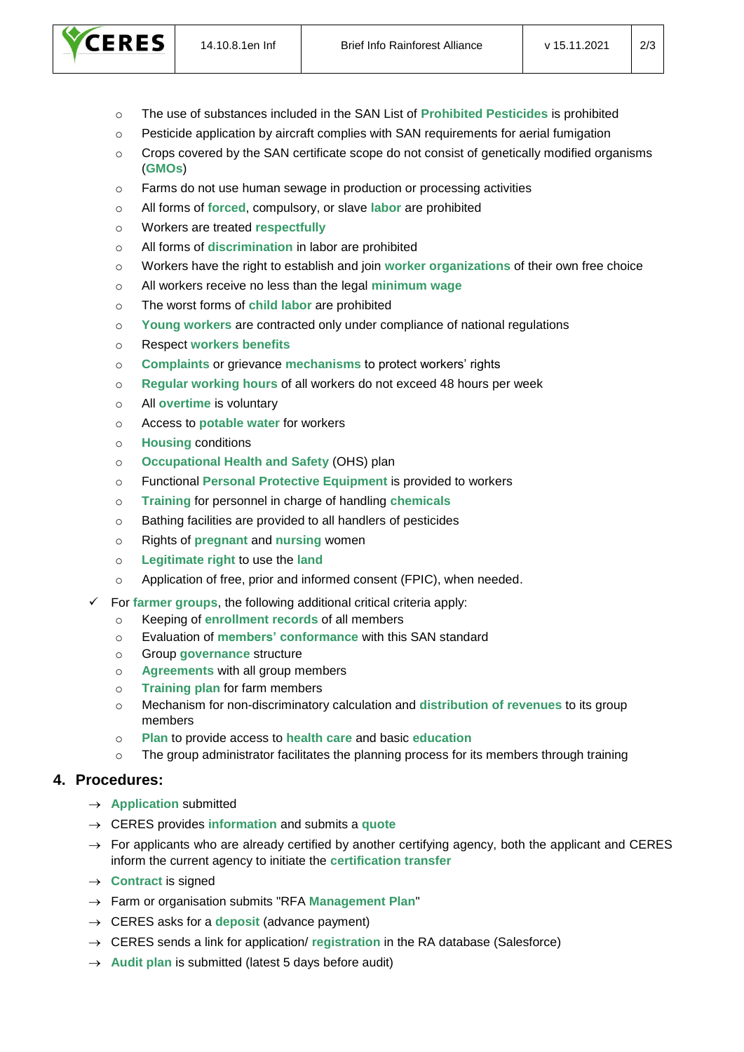

- o The use of substances included in the SAN List of **Prohibited Pesticides** is prohibited
- $\circ$  Pesticide application by aircraft complies with SAN requirements for aerial fumigation
- o Crops covered by the SAN certificate scope do not consist of genetically modified organisms (**GMOs**)
- o Farms do not use human sewage in production or processing activities
- o All forms of **forced**, compulsory, or slave **labor** are prohibited
- o Workers are treated **respectfully**
- o All forms of **discrimination** in labor are prohibited
- o Workers have the right to establish and join **worker organizations** of their own free choice
- o All workers receive no less than the legal **minimum wage**
- o The worst forms of **child labor** are prohibited
- o **Young workers** are contracted only under compliance of national regulations
- o Respect **workers benefits**
- o **Complaints** or grievance **mechanisms** to protect workers' rights
- o **Regular working hours** of all workers do not exceed 48 hours per week
- o All **overtime** is voluntary
- o Access to **potable water** for workers
- o **Housing** conditions
- o **Occupational Health and Safety** (OHS) plan
- o Functional **Personal Protective Equipment** is provided to workers
- o **Training** for personnel in charge of handling **chemicals**
- o Bathing facilities are provided to all handlers of pesticides
- o Rights of **pregnant** and **nursing** women
- o **Legitimate right** to use the **land**
- o Application of free, prior and informed consent (FPIC), when needed.
- For **farmer groups**, the following additional critical criteria apply:
	- o Keeping of **enrollment records** of all members
	- o Evaluation of **members' conformance** with this SAN standard
	- o Group **governance** structure
	- o **Agreements** with all group members
	- o **Training plan** for farm members
	- o Mechanism for non-discriminatory calculation and **distribution of revenues** to its group members
	- o **Plan** to provide access to **health care** and basic **education**
	- $\circ$  The group administrator facilitates the planning process for its members through training

#### **4. Procedures:**

- → **Application** submitted
- → CERES provides **information** and submits a **quote**
- $\rightarrow$  For applicants who are already certified by another certifying agency, both the applicant and CERES inform the current agency to initiate the **certification transfer**
- → **Contract** is signed
- → Farm or organisation submits "RFA **Management Plan**"
- $\rightarrow$  CERES asks for a **deposit** (advance payment)
- → CERES sends a link for application/ **registration** in the RA database (Salesforce)
- → **Audit plan** is submitted (latest 5 days before audit)